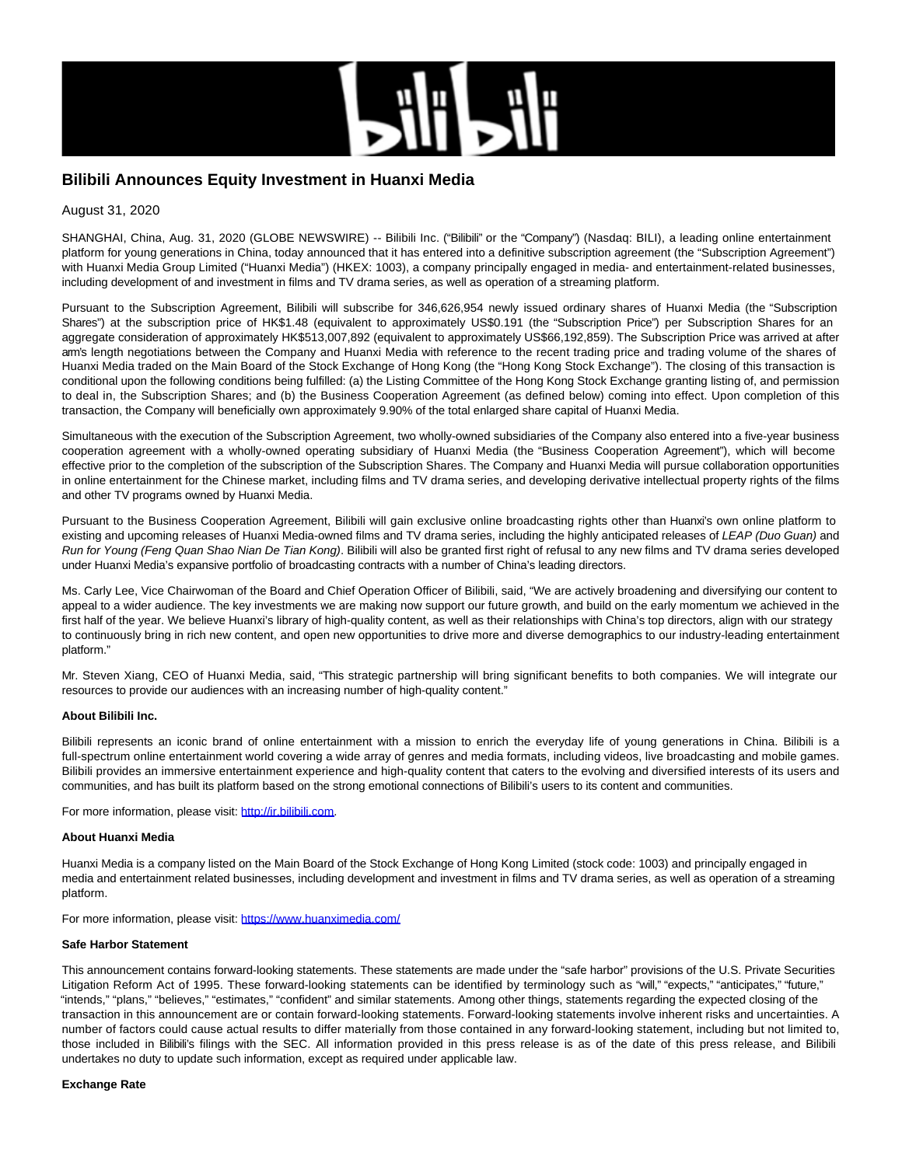

# **Bilibili Announces Equity Investment in Huanxi Media**

## August 31, 2020

SHANGHAI, China, Aug. 31, 2020 (GLOBE NEWSWIRE) -- Bilibili Inc. ("Bilibili" or the "Company") (Nasdaq: BILI), a leading online entertainment platform for young generations in China, today announced that it has entered into a definitive subscription agreement (the "Subscription Agreement") with Huanxi Media Group Limited ("Huanxi Media") (HKEX: 1003), a company principally engaged in media- and entertainment-related businesses, including development of and investment in films and TV drama series, as well as operation of a streaming platform.

Pursuant to the Subscription Agreement, Bilibili will subscribe for 346,626,954 newly issued ordinary shares of Huanxi Media (the "Subscription Shares") at the subscription price of HK\$1.48 (equivalent to approximately US\$0.191 (the "Subscription Price") per Subscription Shares for an aggregate consideration of approximately HK\$513,007,892 (equivalent to approximately US\$66,192,859). The Subscription Price was arrived at after arm's length negotiations between the Company and Huanxi Media with reference to the recent trading price and trading volume of the shares of Huanxi Media traded on the Main Board of the Stock Exchange of Hong Kong (the "Hong Kong Stock Exchange"). The closing of this transaction is conditional upon the following conditions being fulfilled: (a) the Listing Committee of the Hong Kong Stock Exchange granting listing of, and permission to deal in, the Subscription Shares; and (b) the Business Cooperation Agreement (as defined below) coming into effect. Upon completion of this transaction, the Company will beneficially own approximately 9.90% of the total enlarged share capital of Huanxi Media.

Simultaneous with the execution of the Subscription Agreement, two wholly-owned subsidiaries of the Company also entered into a five-year business cooperation agreement with a wholly-owned operating subsidiary of Huanxi Media (the "Business Cooperation Agreement"), which will become effective prior to the completion of the subscription of the Subscription Shares. The Company and Huanxi Media will pursue collaboration opportunities in online entertainment for the Chinese market, including films and TV drama series, and developing derivative intellectual property rights of the films and other TV programs owned by Huanxi Media.

Pursuant to the Business Cooperation Agreement, Bilibili will gain exclusive online broadcasting rights other than Huanxi's own online platform to existing and upcoming releases of Huanxi Media-owned films and TV drama series, including the highly anticipated releases of LEAP (Duo Guan) and Run for Young (Feng Quan Shao Nian De Tian Kong). Bilibili will also be granted first right of refusal to any new films and TV drama series developed under Huanxi Media's expansive portfolio of broadcasting contracts with a number of China's leading directors.

Ms. Carly Lee, Vice Chairwoman of the Board and Chief Operation Officer of Bilibili, said, "We are actively broadening and diversifying our content to appeal to a wider audience. The key investments we are making now support our future growth, and build on the early momentum we achieved in the first half of the year. We believe Huanxi's library of high-quality content, as well as their relationships with China's top directors, align with our strategy to continuously bring in rich new content, and open new opportunities to drive more and diverse demographics to our industry-leading entertainment platform."

Mr. Steven Xiang, CEO of Huanxi Media, said, "This strategic partnership will bring significant benefits to both companies. We will integrate our resources to provide our audiences with an increasing number of high-quality content."

## **About Bilibili Inc.**

Bilibili represents an iconic brand of online entertainment with a mission to enrich the everyday life of young generations in China. Bilibili is a full-spectrum online entertainment world covering a wide array of genres and media formats, including videos, live broadcasting and mobile games. Bilibili provides an immersive entertainment experience and high-quality content that caters to the evolving and diversified interests of its users and communities, and has built its platform based on the strong emotional connections of Bilibili's users to its content and communities.

For more information, please visit: [http://ir.bilibili.com.](https://www.globenewswire.com/Tracker?data=I9taWiDIFbDosL8VCi4yUoXmVC9MS3-9G2w_BetqkmJhdLYITJoz_wIGqRZ6iFqMW-_4Pdo7OLHydnPOFu_kcBAbxPrBTtkqNKumt0oZZBg=)

#### **About Huanxi Media**

Huanxi Media is a company listed on the Main Board of the Stock Exchange of Hong Kong Limited (stock code: 1003) and principally engaged in media and entertainment related businesses, including development and investment in films and TV drama series, as well as operation of a streaming platform.

For more information, please visit: [https://www.huanximedia.com/](https://www.globenewswire.com/Tracker?data=jbXFB-YibDmOBou8aECFa6E1QUcxdPMDYg371fgPA16UT5VdIxcUjUaLTWFt7fFds385p0T8RtmSJgnhiTev640GpJiFBwnIDGNfug55fvM=)

#### **Safe Harbor Statement**

This announcement contains forward-looking statements. These statements are made under the "safe harbor" provisions of the U.S. Private Securities Litigation Reform Act of 1995. These forward-looking statements can be identified by terminology such as "will," "expects," "anticipates," "future," "intends," "plans," "believes," "estimates," "confident" and similar statements. Among other things, statements regarding the expected closing of the transaction in this announcement are or contain forward-looking statements. Forward-looking statements involve inherent risks and uncertainties. A number of factors could cause actual results to differ materially from those contained in any forward-looking statement, including but not limited to, those included in Bilibili's filings with the SEC. All information provided in this press release is as of the date of this press release, and Bilibili undertakes no duty to update such information, except as required under applicable law.

## **Exchange Rate**